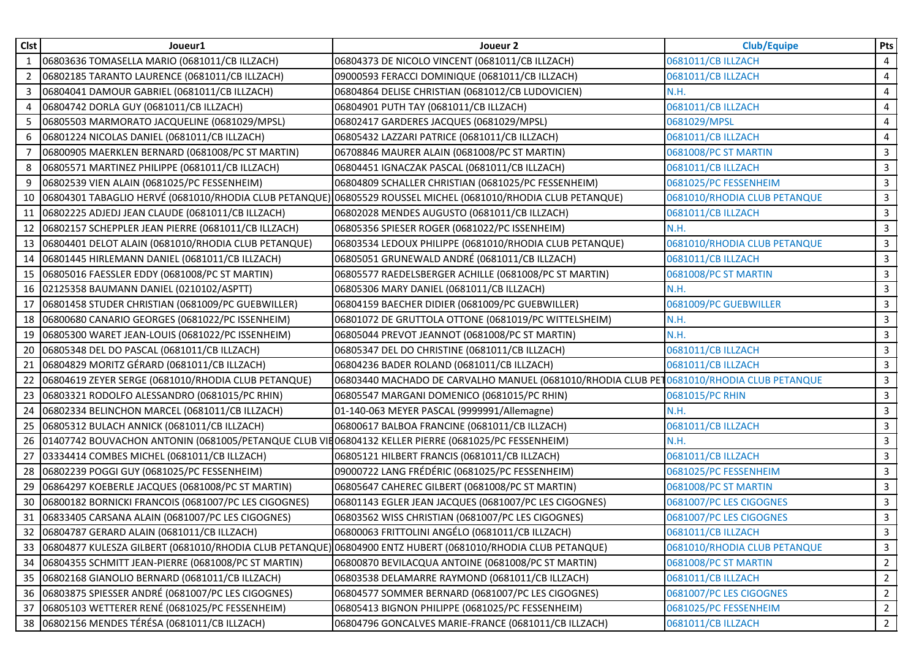| <b>Clst</b>  | Joueur1                                                                                                         | Joueur 2                                                                                  | <b>Club/Equipe</b>           | Pts                     |
|--------------|-----------------------------------------------------------------------------------------------------------------|-------------------------------------------------------------------------------------------|------------------------------|-------------------------|
| $\mathbf{1}$ | 06803636 TOMASELLA MARIO (0681011/CB ILLZACH)                                                                   | 06804373 DE NICOLO VINCENT (0681011/CB ILLZACH)                                           | 0681011/CB ILLZACH           | $\overline{4}$          |
| 2            | 06802185 TARANTO LAURENCE (0681011/CB ILLZACH)                                                                  | 09000593 FERACCI DOMINIQUE (0681011/CB ILLZACH)                                           | 0681011/CB ILLZACH           | 4                       |
| 3            | 06804041 DAMOUR GABRIEL (0681011/CB ILLZACH)                                                                    | 06804864 DELISE CHRISTIAN (0681012/CB LUDOVICIEN)                                         | N.H.                         | $\overline{4}$          |
| 4            | 06804742 DORLA GUY (0681011/CB ILLZACH)                                                                         | 06804901 PUTH TAY (0681011/CB ILLZACH)                                                    | 0681011/CB ILLZACH           | 4                       |
| 5            | 06805503 MARMORATO JACQUELINE (0681029/MPSL)                                                                    | 06802417 GARDERES JACQUES (0681029/MPSL)                                                  | 0681029/MPSL                 | 4                       |
| 6            | 06801224 NICOLAS DANIEL (0681011/CB ILLZACH)                                                                    | 06805432 LAZZARI PATRICE (0681011/CB ILLZACH)                                             | 0681011/CB ILLZACH           | 4                       |
|              | 06800905 MAERKLEN BERNARD (0681008/PC ST MARTIN)                                                                | 06708846 MAURER ALAIN (0681008/PC ST MARTIN)                                              | 0681008/PC ST MARTIN         | $\mathbf{3}$            |
| 8            | 06805571 MARTINEZ PHILIPPE (0681011/CB ILLZACH)                                                                 | 06804451 IGNACZAK PASCAL (0681011/CB ILLZACH)                                             | 0681011/CB ILLZACH           | $\mathsf{3}$            |
| 9            | 06802539 VIEN ALAIN (0681025/PC FESSENHEIM)                                                                     | 06804809 SCHALLER CHRISTIAN (0681025/PC FESSENHEIM)                                       | 0681025/PC FESSENHEIM        | $\mathbf{3}$            |
| 10           | 06804301 TABAGLIO HERVÉ (0681010/RHODIA CLUB PETANQUE) 06805529 ROUSSEL MICHEL (0681010/RHODIA CLUB PETANQUE)   |                                                                                           | 0681010/RHODIA CLUB PETANQUE | $\mathbf{3}$            |
| 11           | 06802225 ADJEDJ JEAN CLAUDE (0681011/CB ILLZACH)                                                                | 06802028 MENDES AUGUSTO (0681011/CB ILLZACH)                                              | 0681011/CB ILLZACH           | $\mathbf{3}$            |
| 12           | 06802157 SCHEPPLER JEAN PIERRE (0681011/CB ILLZACH)                                                             | 06805356 SPIESER ROGER (0681022/PC ISSENHEIM)                                             | N.H.                         | $\mathbf{3}$            |
|              | 13 06804401 DELOT ALAIN (0681010/RHODIA CLUB PETANQUE)                                                          | 06803534 LEDOUX PHILIPPE (0681010/RHODIA CLUB PETANQUE)                                   | 0681010/RHODIA CLUB PETANQUE | $\mathbf{3}$            |
| 14           | 06801445 HIRLEMANN DANIEL (0681011/CB ILLZACH)                                                                  | 06805051 GRUNEWALD ANDRÉ (0681011/CB ILLZACH)                                             | 0681011/CB ILLZACH           | $\mathbf{3}$            |
| 15           | 06805016 FAESSLER EDDY (0681008/PC ST MARTIN)                                                                   | 06805577 RAEDELSBERGER ACHILLE (0681008/PC ST MARTIN)                                     | 0681008/PC ST MARTIN         | $\mathbf{3}$            |
| 16           | 02125358 BAUMANN DANIEL (0210102/ASPTT)                                                                         | 06805306 MARY DANIEL (0681011/CB ILLZACH)                                                 | N.H.                         | $\mathbf{3}$            |
| 17           | 06801458 STUDER CHRISTIAN (0681009/PC GUEBWILLER)                                                               | 06804159 BAECHER DIDIER (0681009/PC GUEBWILLER)                                           | 0681009/PC GUEBWILLER        | $\mathsf{3}$            |
| 18           | 06800680 CANARIO GEORGES (0681022/PC ISSENHEIM)                                                                 | 06801072 DE GRUTTOLA OTTONE (0681019/PC WITTELSHEIM)                                      | N.H.                         | $\mathbf{3}$            |
| 19           | 06805300 WARET JEAN-LOUIS (0681022/PC ISSENHEIM)                                                                | 06805044 PREVOT JEANNOT (0681008/PC ST MARTIN)                                            | N.H.                         | $\mathbf{3}$            |
| 20           | 06805348 DEL DO PASCAL (0681011/CB ILLZACH)                                                                     | 06805347 DEL DO CHRISTINE (0681011/CB ILLZACH)                                            | 0681011/CB ILLZACH           | $\overline{\mathbf{3}}$ |
| 21           | 06804829 MORITZ GÉRARD (0681011/CB ILLZACH)                                                                     | 06804236 BADER ROLAND (0681011/CB ILLZACH)                                                | 0681011/CB ILLZACH           | $\mathbf{3}$            |
| 22           | 06804619 ZEYER SERGE (0681010/RHODIA CLUB PETANQUE)                                                             | 06803440 MACHADO DE CARVALHO MANUEL (0681010/RHODIA CLUB PET 0681010/RHODIA CLUB PETANQUE |                              | $\mathbf{3}$            |
| 23           | 06803321 RODOLFO ALESSANDRO (0681015/PC RHIN)                                                                   | 06805547 MARGANI DOMENICO (0681015/PC RHIN)                                               | 0681015/PC RHIN              | $\mathsf{3}$            |
| 24           | 06802334 BELINCHON MARCEL (0681011/CB ILLZACH)                                                                  | 01-140-063 MEYER PASCAL (9999991/Allemagne)                                               | N.H.                         | $\mathbf{3}$            |
| 25           | 06805312 BULACH ANNICK (0681011/CB ILLZACH)                                                                     | 06800617 BALBOA FRANCINE (0681011/CB ILLZACH)                                             | 0681011/CB ILLZACH           | $\mathbf{3}$            |
| 26           | 01407742 BOUVACHON ANTONIN (0681005/PETANQUE CLUB VIE06804132 KELLER PIERRE (0681025/PC FESSENHEIM)             |                                                                                           | N.H.                         | 3                       |
| 27           | 03334414 COMBES MICHEL (0681011/CB ILLZACH)                                                                     | 06805121 HILBERT FRANCIS (0681011/CB ILLZACH)                                             | 0681011/CB ILLZACH           | $\mathbf{3}$            |
| 28           | 06802239 POGGI GUY (0681025/PC FESSENHEIM)                                                                      | 09000722 LANG FRÉDÉRIC (0681025/PC FESSENHEIM)                                            | 0681025/PC FESSENHEIM        | $\mathbf{3}$            |
| 29           | 06864297 KOEBERLE JACQUES (0681008/PC ST MARTIN)                                                                | 06805647 CAHEREC GILBERT (0681008/PC ST MARTIN)                                           | 0681008/PC ST MARTIN         | $\mathbf{3}$            |
| 30           | 06800182 BORNICKI FRANCOIS (0681007/PC LES CIGOGNES)                                                            | 06801143 EGLER JEAN JACQUES (0681007/PC LES CIGOGNES)                                     | 0681007/PC LES CIGOGNES      | $\mathbf{3}$            |
| 31           | 06833405 CARSANA ALAIN (0681007/PC LES CIGOGNES)                                                                | 06803562 WISS CHRISTIAN (0681007/PC LES CIGOGNES)                                         | 0681007/PC LES CIGOGNES      | $\mathbf{3}$            |
|              | 32 06804787 GERARD ALAIN (0681011/CB ILLZACH)                                                                   | 06800063 FRITTOLINI ANGÉLO (0681011/CB ILLZACH)                                           | 0681011/CB ILLZACH           | 3                       |
|              | 33  06804877 KULESZA GILBERT (0681010/RHODIA CLUB PETANQUE) 06804900 ENTZ HUBERT (0681010/RHODIA CLUB PETANQUE) |                                                                                           | 0681010/RHODIA CLUB PETANQUE | 3                       |
| 34           | 06804355 SCHMITT JEAN-PIERRE (0681008/PC ST MARTIN)                                                             | 06800870 BEVILACQUA ANTOINE (0681008/PC ST MARTIN)                                        | 0681008/PC ST MARTIN         | $\overline{2}$          |
|              | 35 06802168 GIANOLIO BERNARD (0681011/CB ILLZACH)                                                               | 06803538 DELAMARRE RAYMOND (0681011/CB ILLZACH)                                           | 0681011/CB ILLZACH           | $\overline{2}$          |
| 36           | 06803875 SPIESSER ANDRÉ (0681007/PC LES CIGOGNES)                                                               | 06804577 SOMMER BERNARD (0681007/PC LES CIGOGNES)                                         | 0681007/PC LES CIGOGNES      | $\overline{2}$          |
| 37           | 06805103 WETTERER RENÉ (0681025/PC FESSENHEIM)                                                                  | 06805413 BIGNON PHILIPPE (0681025/PC FESSENHEIM)                                          | 0681025/PC FESSENHEIM        | $\overline{2}$          |
|              | 38 06802156 MENDES TÉRÉSA (0681011/CB ILLZACH)                                                                  | 06804796 GONCALVES MARIE-FRANCE (0681011/CB ILLZACH)                                      | 0681011/CB ILLZACH           | $\overline{2}$          |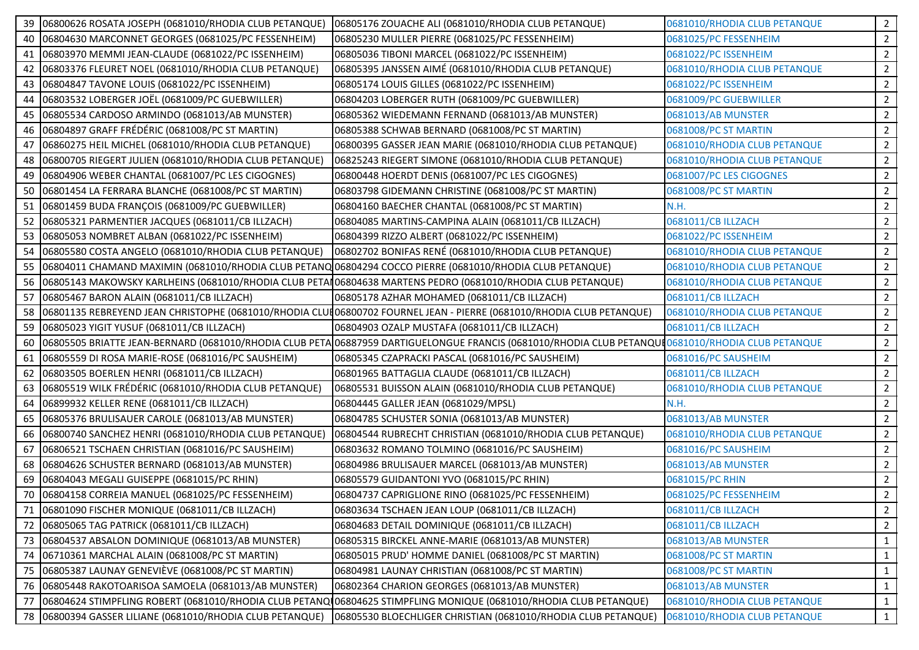|    | 06800626 ROSATA JOSEPH (0681010/RHODIA CLUB PETANQUE)                                                     | 06805176 ZOUACHE ALI (0681010/RHODIA CLUB PETANQUE)                                                                                                | 0681010/RHODIA CLUB PETANQUE | $\overline{2}$ |
|----|-----------------------------------------------------------------------------------------------------------|----------------------------------------------------------------------------------------------------------------------------------------------------|------------------------------|----------------|
| 40 | 06804630 MARCONNET GEORGES (0681025/PC FESSENHEIM)                                                        | 06805230 MULLER PIERRE (0681025/PC FESSENHEIM)                                                                                                     | 0681025/PC FESSENHEIM        | $\overline{2}$ |
|    | 41 06803970 MEMMI JEAN-CLAUDE (0681022/PC ISSENHEIM)                                                      | 06805036 TIBONI MARCEL (0681022/PC ISSENHEIM)                                                                                                      | 0681022/PC ISSENHEIM         | $\overline{2}$ |
| 42 | 06803376 FLEURET NOEL (0681010/RHODIA CLUB PETANQUE)                                                      | 06805395 JANSSEN AIMÉ (0681010/RHODIA CLUB PETANQUE)                                                                                               | 0681010/RHODIA CLUB PETANQUE | $\overline{2}$ |
|    | 43 06804847 TAVONE LOUIS (0681022/PC ISSENHEIM)                                                           | 06805174 LOUIS GILLES (0681022/PC ISSENHEIM)                                                                                                       | 0681022/PC ISSENHEIM         | $\overline{2}$ |
| 44 | 06803532 LOBERGER JOËL (0681009/PC GUEBWILLER)                                                            | 06804203 LOBERGER RUTH (0681009/PC GUEBWILLER)                                                                                                     | 0681009/PC GUEBWILLER        | $\overline{2}$ |
|    | 45 06805534 CARDOSO ARMINDO (0681013/AB MUNSTER)                                                          | 06805362 WIEDEMANN FERNAND (0681013/AB MUNSTER)                                                                                                    | 0681013/AB MUNSTER           | $\overline{2}$ |
|    | 46 06804897 GRAFF FRÉDÉRIC (0681008/PC ST MARTIN)                                                         | 06805388 SCHWAB BERNARD (0681008/PC ST MARTIN)                                                                                                     | 0681008/PC ST MARTIN         | $\overline{2}$ |
| 47 | 06860275 HEIL MICHEL (0681010/RHODIA CLUB PETANQUE)                                                       | 06800395 GASSER JEAN MARIE (0681010/RHODIA CLUB PETANQUE)                                                                                          | 0681010/RHODIA CLUB PETANQUE | $\overline{2}$ |
| 48 | 06800705 RIEGERT JULIEN (0681010/RHODIA CLUB PETANQUE)                                                    | 06825243 RIEGERT SIMONE (0681010/RHODIA CLUB PETANQUE)                                                                                             | 0681010/RHODIA CLUB PETANQUE | $\overline{2}$ |
| 49 | 06804906 WEBER CHANTAL (0681007/PC LES CIGOGNES)                                                          | 06800448 HOERDT DENIS (0681007/PC LES CIGOGNES)                                                                                                    | 0681007/PC LES CIGOGNES      | $\overline{2}$ |
| 50 | 06801454 LA FERRARA BLANCHE (0681008/PC ST MARTIN)                                                        | 06803798 GIDEMANN CHRISTINE (0681008/PC ST MARTIN)                                                                                                 | 0681008/PC ST MARTIN         | $\overline{2}$ |
|    | 51 06801459 BUDA FRANÇOIS (0681009/PC GUEBWILLER)                                                         | 06804160 BAECHER CHANTAL (0681008/PC ST MARTIN)                                                                                                    | N.H.                         | $\overline{2}$ |
|    | 52 06805321 PARMENTIER JACQUES (0681011/CB ILLZACH)                                                       | 06804085 MARTINS-CAMPINA ALAIN (0681011/CB ILLZACH)                                                                                                | 0681011/CB ILLZACH           | $\overline{2}$ |
|    | 53 06805053 NOMBRET ALBAN (0681022/PC ISSENHEIM)                                                          | 06804399 RIZZO ALBERT (0681022/PC ISSENHEIM)                                                                                                       | 0681022/PC ISSENHEIM         | $\overline{2}$ |
| 54 | 06805580 COSTA ANGELO (0681010/RHODIA CLUB PETANQUE)                                                      | 06802702 BONIFAS RENÉ (0681010/RHODIA CLUB PETANQUE)                                                                                               | 0681010/RHODIA CLUB PETANQUE | $\overline{2}$ |
| 55 | 06804011 CHAMAND MAXIMIN (0681010/RHODIA CLUB PETANQ 06804294 COCCO PIERRE (0681010/RHODIA CLUB PETANQUE) |                                                                                                                                                    | 0681010/RHODIA CLUB PETANQUE | $\overline{2}$ |
| 56 |                                                                                                           | 06805143 MAKOWSKY KARLHEINS (0681010/RHODIA CLUB PETAI06804638 MARTENS PEDRO (0681010/RHODIA CLUB PETANQUE)                                        | 0681010/RHODIA CLUB PETANQUE | $\overline{2}$ |
| 57 | 06805467 BARON ALAIN (0681011/CB ILLZACH)                                                                 | 06805178 AZHAR MOHAMED (0681011/CB ILLZACH)                                                                                                        | 0681011/CB ILLZACH           | $\overline{2}$ |
| 58 |                                                                                                           | O6801135 REBREYEND JEAN CHRISTOPHE (0681010/RHODIA CLUIO6800702 FOURNEL JEAN - PIERRE (0681010/RHODIA CLUB PETANQUE)                               | 0681010/RHODIA CLUB PETANQUE | $\overline{2}$ |
|    | 59 06805023 YIGIT YUSUF (0681011/CB ILLZACH)                                                              | 06804903 OZALP MUSTAFA (0681011/CB ILLZACH)                                                                                                        | 0681011/CB ILLZACH           | $\overline{2}$ |
| 60 |                                                                                                           | 06805505 BRIATTE JEAN-BERNARD (0681010/RHODIA CLUB PETA 06887959 DARTIGUELONGUE FRANCIS (0681010/RHODIA CLUB PETANQUI 0681010/RHODIA CLUB PETANQUE |                              | $\overline{2}$ |
| 61 | 06805559 DI ROSA MARIE-ROSE (0681016/PC SAUSHEIM)                                                         | 06805345 CZAPRACKI PASCAL (0681016/PC SAUSHEIM)                                                                                                    | 0681016/PC SAUSHEIM          | 2              |
|    | 62 06803505 BOERLEN HENRI (0681011/CB ILLZACH)                                                            | 06801965 BATTAGLIA CLAUDE (0681011/CB ILLZACH)                                                                                                     | 0681011/CB ILLZACH           | $\overline{2}$ |
| 63 | 06805519 WILK FRÉDÉRIC (0681010/RHODIA CLUB PETANQUE)                                                     | 06805531 BUISSON ALAIN (0681010/RHODIA CLUB PETANQUE)                                                                                              | 0681010/RHODIA CLUB PETANQUE | $\overline{2}$ |
| 64 | 06899932 KELLER RENE (0681011/CB ILLZACH)                                                                 | 06804445 GALLER JEAN (0681029/MPSL)                                                                                                                | N.H.                         | $\overline{2}$ |
| 65 | 06805376 BRULISAUER CAROLE (0681013/AB MUNSTER)                                                           | 06804785 SCHUSTER SONIA (0681013/AB MUNSTER)                                                                                                       | 0681013/AB MUNSTER           | $\overline{2}$ |
| 66 | 06800740 SANCHEZ HENRI (0681010/RHODIA CLUB PETANQUE)                                                     | 06804544 RUBRECHT CHRISTIAN (0681010/RHODIA CLUB PETANQUE)                                                                                         | 0681010/RHODIA CLUB PETANQUE | $\overline{2}$ |
| 67 | 06806521 TSCHAEN CHRISTIAN (0681016/PC SAUSHEIM)                                                          | 06803632 ROMANO TOLMINO (0681016/PC SAUSHEIM)                                                                                                      | 0681016/PC SAUSHEIM          | 2              |
| 68 | 06804626 SCHUSTER BERNARD (0681013/AB MUNSTER)                                                            | 06804986 BRULISAUER MARCEL (0681013/AB MUNSTER)                                                                                                    | 0681013/AB MUNSTER           | $\overline{2}$ |
| 69 | 06804043 MEGALI GUISEPPE (0681015/PC RHIN)                                                                | 06805579 GUIDANTONI YVO (0681015/PC RHIN)                                                                                                          | 0681015/PC RHIN              | $\overline{2}$ |
| 70 | 06804158 CORREIA MANUEL (0681025/PC FESSENHEIM)                                                           | 06804737 CAPRIGLIONE RINO (0681025/PC FESSENHEIM)                                                                                                  | 0681025/PC FESSENHEIM        | $\overline{2}$ |
|    | 71 06801090 FISCHER MONIQUE (0681011/CB ILLZACH)                                                          | 06803634 TSCHAEN JEAN LOUP (0681011/CB ILLZACH)                                                                                                    | 0681011/CB ILLZACH           | 2              |
| 72 | 06805065 TAG PATRICK (0681011/CB ILLZACH)                                                                 | 06804683 DETAIL DOMINIQUE (0681011/CB ILLZACH)                                                                                                     | 0681011/CB ILLZACH           | 2              |
|    | 73 06804537 ABSALON DOMINIQUE (0681013/AB MUNSTER)                                                        | 06805315 BIRCKEL ANNE-MARIE (0681013/AB MUNSTER)                                                                                                   | 0681013/AB MUNSTER           | $\mathbf{1}$   |
| 74 | 06710361 MARCHAL ALAIN (0681008/PC ST MARTIN)                                                             | 06805015 PRUD' HOMME DANIEL (0681008/PC ST MARTIN)                                                                                                 | 0681008/PC ST MARTIN         | $\mathbf{1}$   |
| 75 | 06805387 LAUNAY GENEVIÈVE (0681008/PC ST MARTIN)                                                          | 06804981 LAUNAY CHRISTIAN (0681008/PC ST MARTIN)                                                                                                   | 0681008/PC ST MARTIN         | 1              |
|    | 76 06805448 RAKOTOARISOA SAMOELA (0681013/AB MUNSTER)                                                     | 06802364 CHARION GEORGES (0681013/AB MUNSTER)                                                                                                      | 0681013/AB MUNSTER           | $\mathbf{1}$   |
| 77 |                                                                                                           | 06804624 STIMPFLING ROBERT (0681010/RHODIA CLUB PETANQU06804625 STIMPFLING MONIQUE (0681010/RHODIA CLUB PETANQUE)                                  | 0681010/RHODIA CLUB PETANQUE | $\mathbf{1}$   |
|    | 78 06800394 GASSER LILIANE (0681010/RHODIA CLUB PETANQUE)                                                 | 06805530 BLOECHLIGER CHRISTIAN (0681010/RHODIA CLUB PETANQUE)                                                                                      | 0681010/RHODIA CLUB PETANQUE | $\mathbf{1}$   |